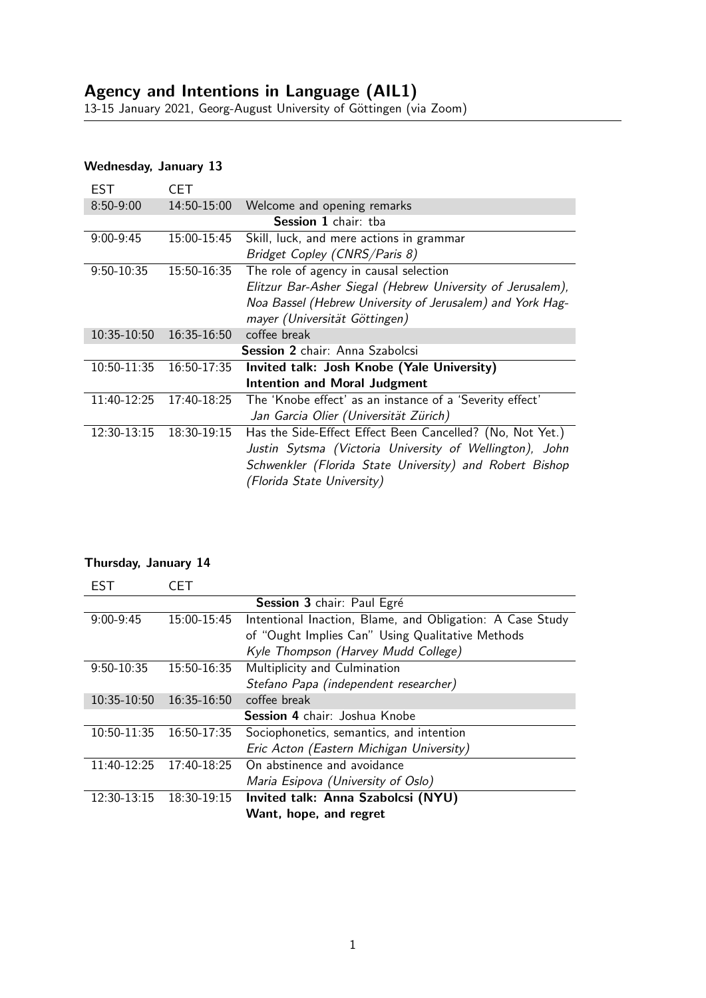## Wednesday, January 13

| $8:50-9:00$<br>14:50-15:00<br>Welcome and opening remarks                               |  |  |  |  |  |
|-----------------------------------------------------------------------------------------|--|--|--|--|--|
| <b>Session 1</b> chair: tha                                                             |  |  |  |  |  |
| Skill, luck, and mere actions in grammar<br>$9:00-9:45$<br>15:00-15:45                  |  |  |  |  |  |
| Bridget Copley (CNRS/Paris 8)                                                           |  |  |  |  |  |
| The role of agency in causal selection<br>9:50-10:35<br>15:50-16:35                     |  |  |  |  |  |
| Elitzur Bar-Asher Siegal (Hebrew University of Jerusalem),                              |  |  |  |  |  |
| Noa Bassel (Hebrew University of Jerusalem) and York Hag-                               |  |  |  |  |  |
| mayer (Universität Göttingen)                                                           |  |  |  |  |  |
| coffee break<br>10:35-10:50<br>16:35-16:50                                              |  |  |  |  |  |
| Session 2 chair: Anna Szabolcsi                                                         |  |  |  |  |  |
| 10:50-11:35<br>Invited talk: Josh Knobe (Yale University)<br>16:50-17:35                |  |  |  |  |  |
| <b>Intention and Moral Judgment</b>                                                     |  |  |  |  |  |
| 11:40-12:25<br>The 'Knobe effect' as an instance of a 'Severity effect'<br>17:40-18:25  |  |  |  |  |  |
| Jan Garcia Olier (Universität Zürich)                                                   |  |  |  |  |  |
| Has the Side-Effect Effect Been Cancelled? (No, Not Yet.)<br>12:30-13:15<br>18:30-19:15 |  |  |  |  |  |
| Justin Sytsma (Victoria University of Wellington), John                                 |  |  |  |  |  |
| Schwenkler (Florida State University) and Robert Bishop                                 |  |  |  |  |  |
| (Florida State University)                                                              |  |  |  |  |  |

## Thursday, January 14

| EST                                  | CET         |                                                           |  |  |
|--------------------------------------|-------------|-----------------------------------------------------------|--|--|
| Session 3 chair: Paul Egré           |             |                                                           |  |  |
| $9:00-9:45$                          | 15:00-15:45 | Intentional Inaction, Blame, and Obligation: A Case Study |  |  |
|                                      |             | of "Ought Implies Can" Using Qualitative Methods          |  |  |
|                                      |             | Kyle Thompson (Harvey Mudd College)                       |  |  |
| 9:50-10:35                           | 15:50-16:35 | Multiplicity and Culmination                              |  |  |
|                                      |             | Stefano Papa (independent researcher)                     |  |  |
| 10:35-10:50                          | 16:35-16:50 | coffee break                                              |  |  |
| <b>Session 4 chair: Joshua Knobe</b> |             |                                                           |  |  |
| 10:50-11:35                          | 16:50-17:35 | Sociophonetics, semantics, and intention                  |  |  |
|                                      |             | Eric Acton (Eastern Michigan University)                  |  |  |
| 11:40-12:25                          | 17:40-18:25 | On abstinence and avoidance                               |  |  |
|                                      |             | Maria Esipova (University of Oslo)                        |  |  |
| 12:30-13:15                          | 18:30-19:15 | Invited talk: Anna Szabolcsi (NYU)                        |  |  |
|                                      |             | Want, hope, and regret                                    |  |  |